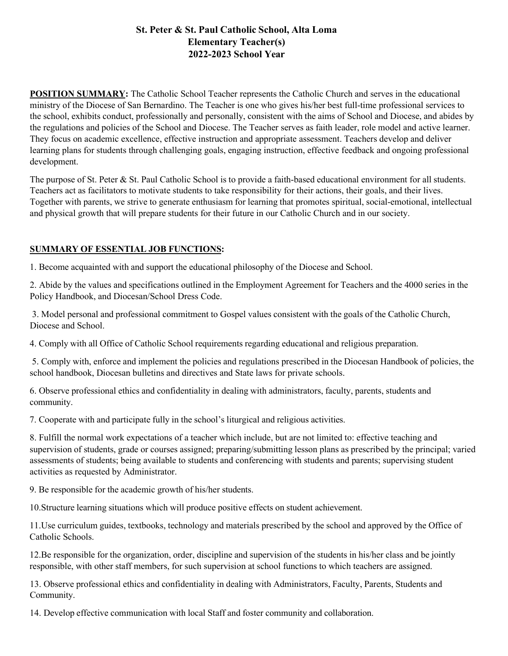## **St. Peter & St. Paul Catholic School, Alta Loma Elementary Teacher(s) 2022-2023 School Year**

**POSITION SUMMARY:** The Catholic School Teacher represents the Catholic Church and serves in the educational ministry of the Diocese of San Bernardino. The Teacher is one who gives his/her best full-time professional services to the school, exhibits conduct, professionally and personally, consistent with the aims of School and Diocese, and abides by the regulations and policies of the School and Diocese. The Teacher serves as faith leader, role model and active learner. They focus on academic excellence, effective instruction and appropriate assessment. Teachers develop and deliver learning plans for students through challenging goals, engaging instruction, effective feedback and ongoing professional development.

The purpose of St. Peter & St. Paul Catholic School is to provide a faith-based educational environment for all students. Teachers act as facilitators to motivate students to take responsibility for their actions, their goals, and their lives. Together with parents, we strive to generate enthusiasm for learning that promotes spiritual, social-emotional, intellectual and physical growth that will prepare students for their future in our Catholic Church and in our society.

## **SUMMARY OF ESSENTIAL JOB FUNCTIONS:**

1. Become acquainted with and support the educational philosophy of the Diocese and School.

2. Abide by the values and specifications outlined in the Employment Agreement for Teachers and the 4000 series in the Policy Handbook, and Diocesan/School Dress Code.

3. Model personal and professional commitment to Gospel values consistent with the goals of the Catholic Church, Diocese and School.

4. Comply with all Office of Catholic School requirements regarding educational and religious preparation.

5. Comply with, enforce and implement the policies and regulations prescribed in the Diocesan Handbook of policies, the school handbook, Diocesan bulletins and directives and State laws for private schools.

6. Observe professional ethics and confidentiality in dealing with administrators, faculty, parents, students and community.

7. Cooperate with and participate fully in the school's liturgical and religious activities.

8. Fulfill the normal work expectations of a teacher which include, but are not limited to: effective teaching and supervision of students, grade or courses assigned; preparing/submitting lesson plans as prescribed by the principal; varied assessments of students; being available to students and conferencing with students and parents; supervising student activities as requested by Administrator.

9. Be responsible for the academic growth of his/her students.

10.Structure learning situations which will produce positive effects on student achievement.

11.Use curriculum guides, textbooks, technology and materials prescribed by the school and approved by the Office of Catholic Schools.

12.Be responsible for the organization, order, discipline and supervision of the students in his/her class and be jointly responsible, with other staff members, for such supervision at school functions to which teachers are assigned.

13. Observe professional ethics and confidentiality in dealing with Administrators, Faculty, Parents, Students and Community.

14. Develop effective communication with local Staff and foster community and collaboration.